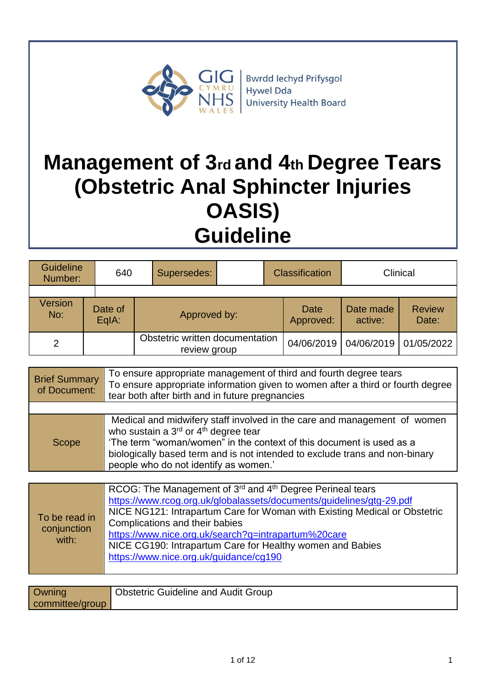

# **Management of 3rd and 4th Degree Tears (Obstetric Anal Sphincter Injuries OASIS) Guideline**

| <b>Guideline</b><br>Number: |  | 640              | Supersedes: |                                                 | <b>Classification</b> |                   | Clinical             |                         |
|-----------------------------|--|------------------|-------------|-------------------------------------------------|-----------------------|-------------------|----------------------|-------------------------|
|                             |  |                  |             |                                                 |                       |                   |                      |                         |
| Version<br>No:              |  | Date of<br>EqIA: |             | Approved by:                                    |                       | Date<br>Approved: | Date made<br>active: | <b>Review</b><br>Date:  |
| 2                           |  |                  |             | Obstetric written documentation<br>review group |                       | 04/06/2019        |                      | 04/06/2019   01/05/2022 |

| <b>Brief Summary</b><br>of Document: | To ensure appropriate management of third and fourth degree tears<br>To ensure appropriate information given to women after a third or fourth degree<br>tear both after birth and in future pregnancies                                                                                                                                  |
|--------------------------------------|------------------------------------------------------------------------------------------------------------------------------------------------------------------------------------------------------------------------------------------------------------------------------------------------------------------------------------------|
|                                      |                                                                                                                                                                                                                                                                                                                                          |
| Scope                                | Medical and midwifery staff involved in the care and management of women<br>who sustain a 3 <sup>rd</sup> or 4 <sup>th</sup> degree tear<br>'The term "woman/women" in the context of this document is used as a<br>biologically based term and is not intended to exclude trans and non-binary<br>people who do not identify as women.' |

| To be read in<br>conjunction<br>with: | RCOG: The Management of 3 <sup>rd</sup> and 4 <sup>th</sup> Degree Perineal tears<br>https://www.rcog.org.uk/globalassets/documents/guidelines/gtg-29.pdf<br>NICE NG121: Intrapartum Care for Woman with Existing Medical or Obstetric<br>Complications and their babies<br>https://www.nice.org.uk/search?q=intrapartum%20care<br>NICE CG190: Intrapartum Care for Healthy women and Babies<br>https://www.nice.org.uk/guidance/cg190 |
|---------------------------------------|----------------------------------------------------------------------------------------------------------------------------------------------------------------------------------------------------------------------------------------------------------------------------------------------------------------------------------------------------------------------------------------------------------------------------------------|
|---------------------------------------|----------------------------------------------------------------------------------------------------------------------------------------------------------------------------------------------------------------------------------------------------------------------------------------------------------------------------------------------------------------------------------------------------------------------------------------|

| Owning          | <b>Obstetric Guideline and Audit Group</b> |
|-----------------|--------------------------------------------|
| committee/group |                                            |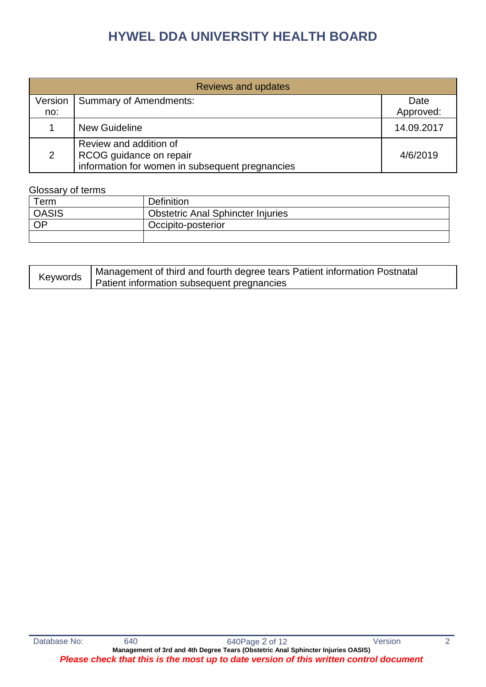| Reviews and updates |                                                                                                      |            |  |  |
|---------------------|------------------------------------------------------------------------------------------------------|------------|--|--|
| Version             | <b>Summary of Amendments:</b>                                                                        | Date       |  |  |
| no:                 |                                                                                                      | Approved:  |  |  |
|                     | <b>New Guideline</b>                                                                                 | 14.09.2017 |  |  |
| 2                   | Review and addition of<br>RCOG guidance on repair<br>information for women in subsequent pregnancies | 4/6/2019   |  |  |

#### Glossary of terms

| $\tau_{\sf{erm}}$ | <b>Definition</b>                        |
|-------------------|------------------------------------------|
| <b>OASIS</b>      | <b>Obstetric Anal Sphincter Injuries</b> |
| OP                | Occipito-posterior                       |
|                   |                                          |

| Keywords | Management of third and fourth degree tears Patient information Postnatal |
|----------|---------------------------------------------------------------------------|
|          | Patient information subsequent pregnancies                                |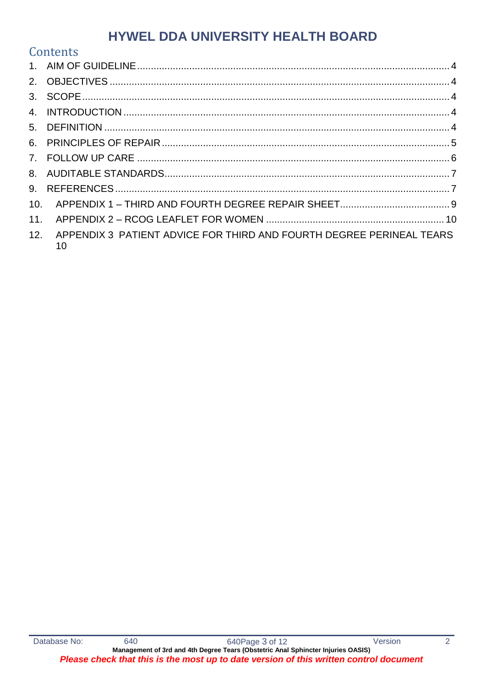|                 | Contents                                                                   |  |
|-----------------|----------------------------------------------------------------------------|--|
|                 |                                                                            |  |
|                 |                                                                            |  |
|                 |                                                                            |  |
|                 |                                                                            |  |
|                 |                                                                            |  |
|                 |                                                                            |  |
|                 |                                                                            |  |
|                 |                                                                            |  |
|                 |                                                                            |  |
| 10 <sub>1</sub> |                                                                            |  |
| 11.             |                                                                            |  |
| 12.             | APPENDIX 3 PATIENT ADVICE FOR THIRD AND FOURTH DEGREE PERINEAL TEARS<br>10 |  |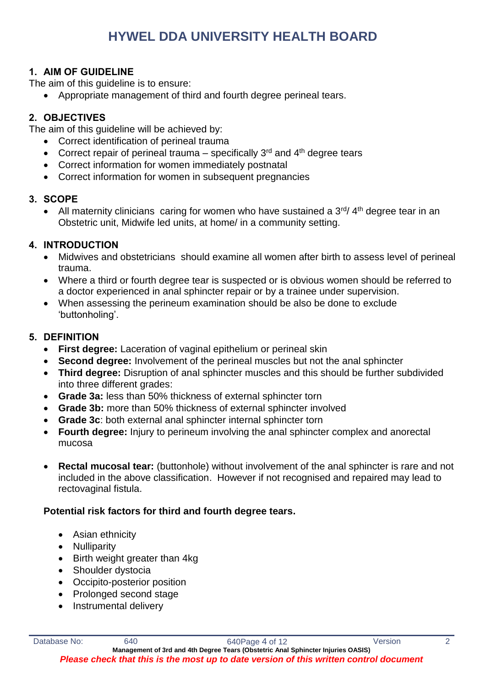#### <span id="page-3-0"></span>**1. AIM OF GUIDELINE**

The aim of this guideline is to ensure:

Appropriate management of third and fourth degree perineal tears.

### <span id="page-3-1"></span>**2. OBJECTIVES**

The aim of this guideline will be achieved by:

- Correct identification of perineal trauma
- Correct repair of perineal trauma specifically  $3^{rd}$  and  $4^{th}$  degree tears
- Correct information for women immediately postnatal
- Correct information for women in subsequent pregnancies

#### <span id="page-3-2"></span>**3. SCOPE**

• All maternity clinicians caring for women who have sustained a  $3<sup>rd</sup>/ 4<sup>th</sup>$  degree tear in an Obstetric unit, Midwife led units, at home/ in a community setting.

#### <span id="page-3-3"></span>**4. INTRODUCTION**

- Midwives and obstetricians should examine all women after birth to assess level of perineal trauma.
- Where a third or fourth degree tear is suspected or is obvious women should be referred to a doctor experienced in anal sphincter repair or by a trainee under supervision.
- When assessing the perineum examination should be also be done to exclude 'buttonholing'.

#### <span id="page-3-4"></span>**5. DEFINITION**

- **First degree:** Laceration of vaginal epithelium or perineal skin
- **Second degree:** Involvement of the perineal muscles but not the anal sphincter
- **Third degree:** Disruption of anal sphincter muscles and this should be further subdivided into three different grades:
- **Grade 3a:** less than 50% thickness of external sphincter torn
- **Grade 3b:** more than 50% thickness of external sphincter involved
- **Grade 3c**: both external anal sphincter internal sphincter torn
- **Fourth degree:** Injury to perineum involving the anal sphincter complex and anorectal mucosa
- **Rectal mucosal tear:** (buttonhole) without involvement of the anal sphincter is rare and not included in the above classification. However if not recognised and repaired may lead to rectovaginal fistula.

#### **Potential risk factors for third and fourth degree tears.**

- Asian ethnicity
- Nulliparity
- Birth weight greater than 4kg
- Shoulder dystocia
- Occipito-posterior position
- Prolonged second stage
- Instrumental delivery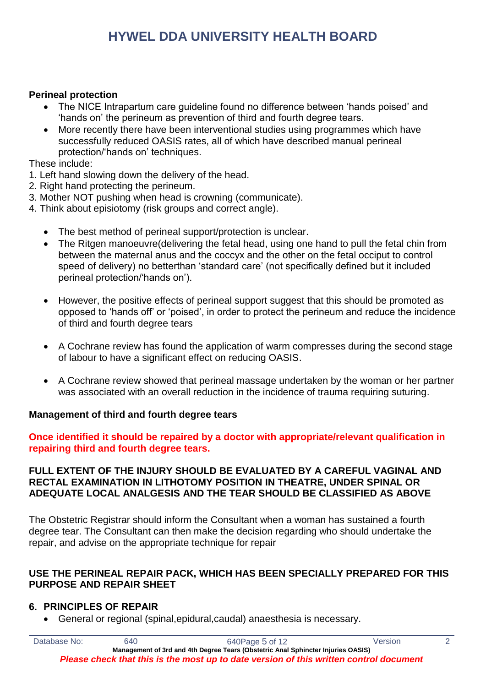#### **Perineal protection**

- The NICE Intrapartum care guideline found no difference between 'hands poised' and 'hands on' the perineum as prevention of third and fourth degree tears.
- More recently there have been interventional studies using programmes which have successfully reduced OASIS rates, all of which have described manual perineal protection/'hands on' techniques.

These include:

- 1. Left hand slowing down the delivery of the head.
- 2. Right hand protecting the perineum.
- 3. Mother NOT pushing when head is crowning (communicate).
- 4. Think about episiotomy (risk groups and correct angle).
	- The best method of perineal support/protection is unclear.
	- The Ritgen manoeuvre(delivering the fetal head, using one hand to pull the fetal chin from between the maternal anus and the coccyx and the other on the fetal occiput to control speed of delivery) no betterthan 'standard care' (not specifically defined but it included perineal protection/'hands on').
	- However, the positive effects of perineal support suggest that this should be promoted as opposed to 'hands off' or 'poised', in order to protect the perineum and reduce the incidence of third and fourth degree tears
	- A Cochrane review has found the application of warm compresses during the second stage of labour to have a significant effect on reducing OASIS.
	- A Cochrane review showed that perineal massage undertaken by the woman or her partner was associated with an overall reduction in the incidence of trauma requiring suturing.

#### **Management of third and fourth degree tears**

**Once identified it should be repaired by a doctor with appropriate/relevant qualification in repairing third and fourth degree tears.**

#### **FULL EXTENT OF THE INJURY SHOULD BE EVALUATED BY A CAREFUL VAGINAL AND RECTAL EXAMINATION IN LITHOTOMY POSITION IN THEATRE, UNDER SPINAL OR ADEQUATE LOCAL ANALGESIS AND THE TEAR SHOULD BE CLASSIFIED AS ABOVE**

The Obstetric Registrar should inform the Consultant when a woman has sustained a fourth degree tear. The Consultant can then make the decision regarding who should undertake the repair, and advise on the appropriate technique for repair

#### **USE THE PERINEAL REPAIR PACK, WHICH HAS BEEN SPECIALLY PREPARED FOR THIS PURPOSE AND REPAIR SHEET**

#### <span id="page-4-0"></span>**6. PRINCIPLES OF REPAIR**

General or regional (spinal,epidural,caudal) anaesthesia is necessary.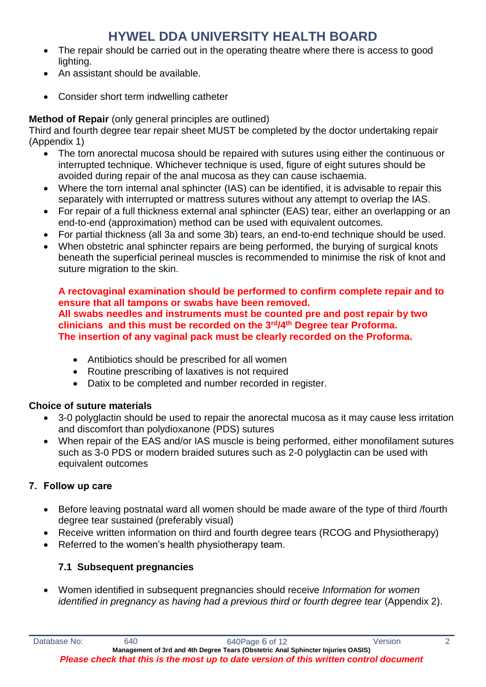- The repair should be carried out in the operating theatre where there is access to good lighting.
- An assistant should be available.
- Consider short term indwelling catheter

### **Method of Repair** (only general principles are outlined)

Third and fourth degree tear repair sheet MUST be completed by the doctor undertaking repair (Appendix 1)

- The torn anorectal mucosa should be repaired with sutures using either the continuous or interrupted technique. Whichever technique is used, figure of eight sutures should be avoided during repair of the anal mucosa as they can cause ischaemia.
- Where the torn internal anal sphincter (IAS) can be identified, it is advisable to repair this separately with interrupted or mattress sutures without any attempt to overlap the IAS.
- For repair of a full thickness external anal sphincter (EAS) tear, either an overlapping or an end-to-end (approximation) method can be used with equivalent outcomes.
- For partial thickness (all 3a and some 3b) tears, an end-to-end technique should be used.
- When obstetric anal sphincter repairs are being performed, the burying of surgical knots beneath the superficial perineal muscles is recommended to minimise the risk of knot and suture migration to the skin.

#### **A rectovaginal examination should be performed to confirm complete repair and to ensure that all tampons or swabs have been removed. All swabs needles and instruments must be counted pre and post repair by two clinicians and this must be recorded on the 3rd/4th Degree tear Proforma. The insertion of any vaginal pack must be clearly recorded on the Proforma.**

- Antibiotics should be prescribed for all women
- Routine prescribing of laxatives is not required
- Datix to be completed and number recorded in register.

#### **Choice of suture materials**

- 3-0 polyglactin should be used to repair the anorectal mucosa as it may cause less irritation and discomfort than polydioxanone (PDS) sutures
- When repair of the EAS and/or IAS muscle is being performed, either monofilament sutures such as 3-0 PDS or modern braided sutures such as 2-0 polyglactin can be used with equivalent outcomes

### <span id="page-5-0"></span>**7. Follow up care**

- Before leaving postnatal ward all women should be made aware of the type of third /fourth degree tear sustained (preferably visual)
- Receive written information on third and fourth degree tears (RCOG and Physiotherapy)
- Referred to the women's health physiotherapy team.

### **7.1 Subsequent pregnancies**

 Women identified in subsequent pregnancies should receive *Information for women identified in pregnancy as having had a previous third or fourth degree tear* (Appendix 2).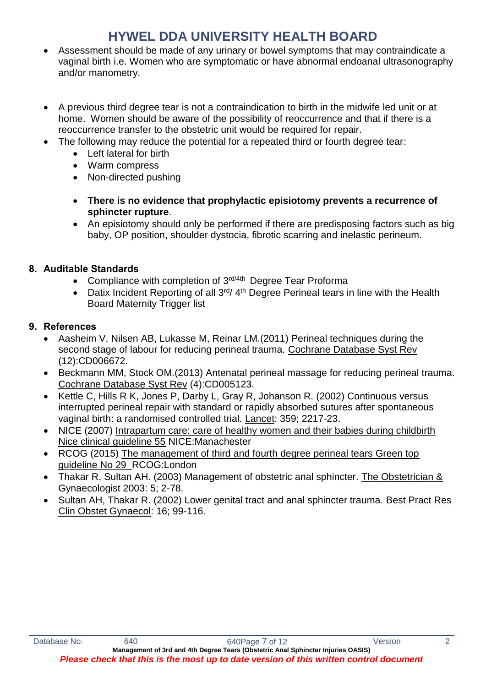- Assessment should be made of any urinary or bowel symptoms that may contraindicate a vaginal birth i.e. Women who are symptomatic or have abnormal endoanal ultrasonography and/or manometry.
- A previous third degree tear is not a contraindication to birth in the midwife led unit or at home. Women should be aware of the possibility of reoccurrence and that if there is a reoccurrence transfer to the obstetric unit would be required for repair.
- The following may reduce the potential for a repeated third or fourth degree tear:
	- Left lateral for birth
	- Warm compress
	- Non-directed pushing
	- **There is no evidence that prophylactic episiotomy prevents a recurrence of sphincter rupture**.
	- An episiotomy should only be performed if there are predisposing factors such as big baby, OP position, shoulder dystocia, fibrotic scarring and inelastic perineum.

### <span id="page-6-0"></span>**8. Auditable Standards**

- Compliance with completion of 3<sup>rd/4th</sup> Degree Tear Proforma
- Datix Incident Reporting of all  $3<sup>rd</sup>/ 4<sup>th</sup>$  Degree Perineal tears in line with the Health Board Maternity Trigger list

#### <span id="page-6-1"></span>**9. References**

- Aasheim V, Nilsen AB, Lukasse M, Reinar LM.(2011) Perineal techniques during the second stage of labour for reducing perineal trauma. Cochrane Database Syst Rev (12):CD006672.
- Beckmann MM, Stock OM.(2013) Antenatal perineal massage for reducing perineal trauma. Cochrane Database Syst Rev (4):CD005123.
- Kettle C, Hills R K, Jones P, Darby L, Gray R, Johanson R, (2002) Continuous versus interrupted perineal repair with standard or rapidly absorbed sutures after spontaneous vaginal birth: a randomised controlled trial. Lancet: 359; 2217-23.
- NICE (2007) Intrapartum care: care of healthy women and their babies during childbirth Nice clinical guideline 55 NICE:Manachester
- RCOG (2015) The management of third and fourth degree perineal tears Green top guideline No 29 RCOG:London
- Thakar R, Sultan AH. (2003) Management of obstetric anal sphincter. The Obstetrician & Gynaecologist 2003: 5; 2-78.
- Sultan AH, Thakar R. (2002) Lower genital tract and anal sphincter trauma. Best Pract Res Clin Obstet Gynaecol: 16; 99-116.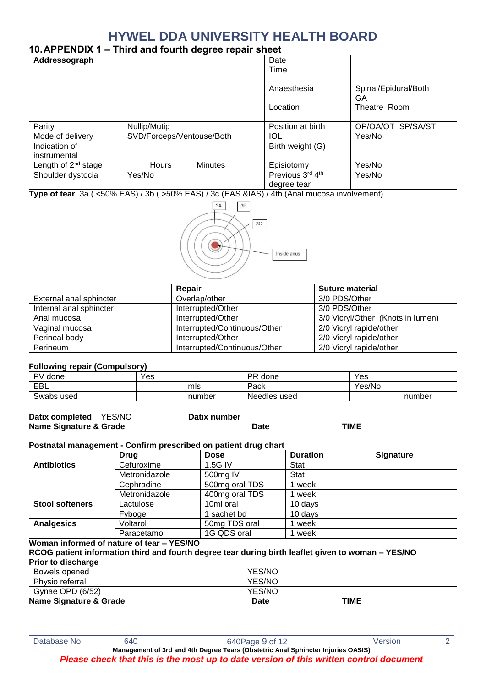#### <span id="page-8-0"></span>**10.APPENDIX 1 – Third and fourth degree repair sheet**

| Addressograph                 |                                | Date                            |                            |
|-------------------------------|--------------------------------|---------------------------------|----------------------------|
|                               |                                | Time                            |                            |
|                               |                                | Anaesthesia                     | Spinal/Epidural/Both<br>GA |
|                               |                                | Location                        | Theatre Room               |
| Parity                        | Nullip/Mutip                   | Position at birth               | OP/OA/OT SP/SA/ST          |
| Mode of delivery              | SVD/Forceps/Ventouse/Both      | IOL                             | Yes/No                     |
| Indication of<br>instrumental |                                | Birth weight (G)                |                            |
| Length of $2^{nd}$ stage      | <b>Minutes</b><br><b>Hours</b> | Episiotomy                      | Yes/No                     |
| Shoulder dystocia             | Yes/No                         | Previous 3rd 4th<br>degree tear | Yes/No                     |

**Type of tear** 3a ( <50% EAS) / 3b ( >50% EAS) / 3c (EAS &IAS) / 4th (Anal mucosa involvement)



|                         | Repair                       | <b>Suture material</b>            |
|-------------------------|------------------------------|-----------------------------------|
| External anal sphincter | Overlap/other                | 3/0 PDS/Other                     |
| Internal anal sphincter | Interrupted/Other            | 3/0 PDS/Other                     |
| Anal mucosa             | Interrupted/Other            | 3/0 Vicryl/Other (Knots in lumen) |
| Vaginal mucosa          | Interrupted/Continuous/Other | 2/0 Vicryl rapide/other           |
| Perineal body           | Interrupted/Other            | 2/0 Vicryl rapide/other           |
| Perineum                | Interrupted/Continuous/Other | 2/0 Vicryl rapide/other           |

#### **Following repair (Compulsory)**

| PV/<br>done   | Yes    | PR<br>done   | Yes    |
|---------------|--------|--------------|--------|
| EBL           | mls    | Pack         | Yes/No |
| Swabs<br>used | number | Needles used | number |

| Datix completed YES/NO | Datix number |             |      |
|------------------------|--------------|-------------|------|
| Name Signature & Grade |              | <b>Date</b> | TIME |

#### **Postnatal management - Confirm prescribed on patient drug chart**

|                        | Drug          | <b>Dose</b>    | <b>Duration</b> | <b>Signature</b> |
|------------------------|---------------|----------------|-----------------|------------------|
| <b>Antibiotics</b>     | Cefuroxime    | 1.5G IV        | Stat            |                  |
|                        | Metronidazole | 500mg IV       | Stat            |                  |
|                        | Cephradine    | 500mg oral TDS | week            |                  |
|                        | Metronidazole | 400mg oral TDS | week            |                  |
| <b>Stool softeners</b> | Lactulose     | 10ml oral      | 10 days         |                  |
|                        | Fybogel       | sachet bd      | 10 days         |                  |
| <b>Analgesics</b>      | Voltarol      | 50mg TDS oral  | week            |                  |
|                        | Paracetamol   | 1G QDS oral    | week            |                  |

#### **Woman informed of nature of tear – YES/NO**

**RCOG patient information third and fourth degree tear during birth leaflet given to woman – YES/NO Prior to discharge**

| Bowels opened          | <b>YES/NC</b> |      |
|------------------------|---------------|------|
| Physio referral        | YES/NO        |      |
| Gynae OPD (6/52)       | <b>YES/NO</b> |      |
| Name Signature & Grade | <b>Date</b>   | TIME |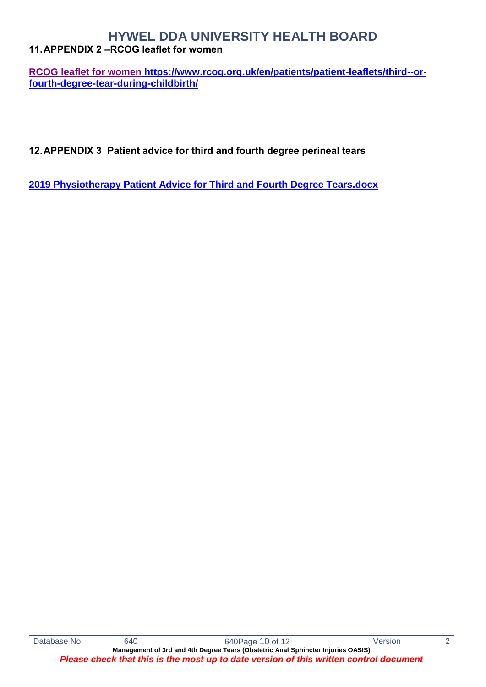### <span id="page-9-0"></span>**11.APPENDIX 2 –RCOG leaflet for women**

**[RCOG leaflet for women](https://www.rcog.org.uk/en/patients/patient-leaflets/third--or-fourth-degree-tear-during-childbirth/) [https://www.rcog.org.uk/en/patients/patient-leaflets/third--or](https://www.rcog.org.uk/en/patients/patient-leaflets/third--or-fourth-degree-tear-during-childbirth/)[fourth-degree-tear-during-childbirth/](https://www.rcog.org.uk/en/patients/patient-leaflets/third--or-fourth-degree-tear-during-childbirth/)**

<span id="page-9-1"></span>**12.APPENDIX 3 Patient advice for third and fourth degree perineal tears**

**[2019 Physiotherapy Patient Advice for Third and Fourth Degree Tears.docx](file:///C:/Users/sh007464/AppData/Local/Microsoft/Windows/Temporary%20Internet%20Files/Content.Outlook/JR9GMMS1/2019%20Physiotherapy%20Patient%20Advice%20for%20Third%20and%20Fourth%20Degree%20Tears.docx)**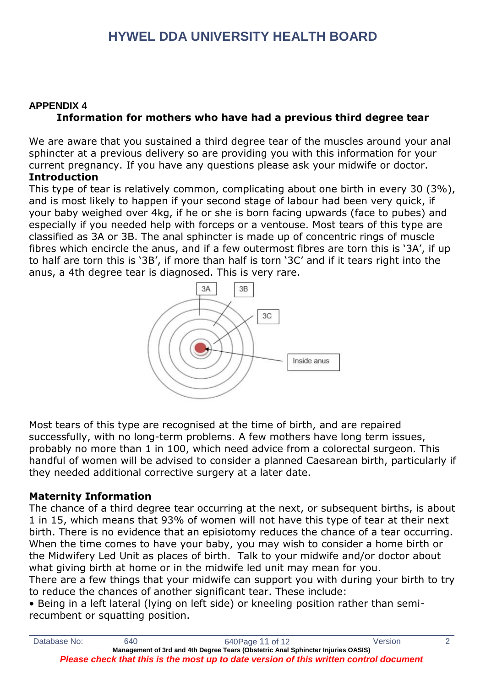### **APPENDIX 4 Information for mothers who have had a previous third degree tear**

We are aware that you sustained a third degree tear of the muscles around your anal sphincter at a previous delivery so are providing you with this information for your current pregnancy. If you have any questions please ask your midwife or doctor.

#### **Introduction**

This type of tear is relatively common, complicating about one birth in every 30 (3%), and is most likely to happen if your second stage of labour had been very quick, if your baby weighed over 4kg, if he or she is born facing upwards (face to pubes) and especially if you needed help with forceps or a ventouse. Most tears of this type are classified as 3A or 3B. The anal sphincter is made up of concentric rings of muscle fibres which encircle the anus, and if a few outermost fibres are torn this is '3A', if up to half are torn this is '3B', if more than half is torn '3C' and if it tears right into the anus, a 4th degree tear is diagnosed. This is very rare.



Most tears of this type are recognised at the time of birth, and are repaired successfully, with no long-term problems. A few mothers have long term issues, probably no more than 1 in 100, which need advice from a colorectal surgeon. This handful of women will be advised to consider a planned Caesarean birth, particularly if they needed additional corrective surgery at a later date.

### **Maternity Information**

The chance of a third degree tear occurring at the next, or subsequent births, is about 1 in 15, which means that 93% of women will not have this type of tear at their next birth. There is no evidence that an episiotomy reduces the chance of a tear occurring. When the time comes to have your baby, you may wish to consider a home birth or the Midwifery Led Unit as places of birth. Talk to your midwife and/or doctor about what giving birth at home or in the midwife led unit may mean for you.

There are a few things that your midwife can support you with during your birth to try to reduce the chances of another significant tear. These include:

• Being in a left lateral (lying on left side) or kneeling position rather than semirecumbent or squatting position.